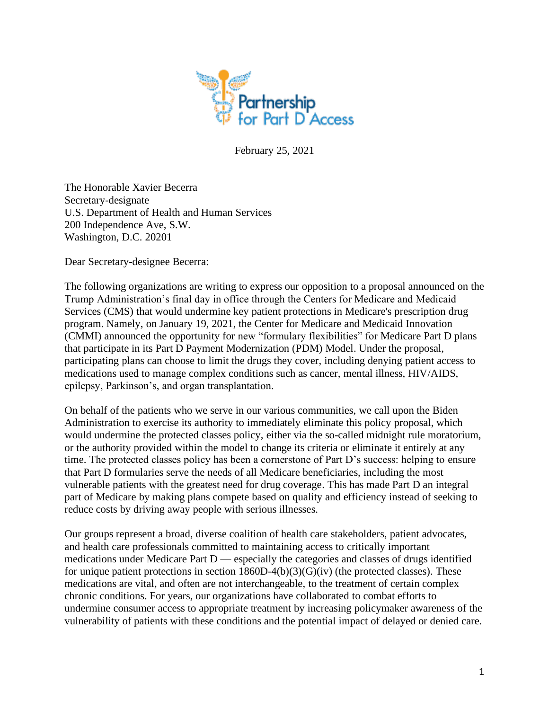

February 25, 2021

The Honorable Xavier Becerra Secretary-designate U.S. Department of Health and Human Services 200 Independence Ave, S.W. Washington, D.C. 20201

Dear Secretary-designee Becerra:

The following organizations are writing to express our opposition to a proposal announced on the Trump Administration's final day in office through the Centers for Medicare and Medicaid Services (CMS) that would undermine key patient protections in Medicare's prescription drug program. Namely, on January 19, 2021, the Center for Medicare and Medicaid Innovation (CMMI) announced the opportunity for new "formulary flexibilities" for Medicare Part D plans that participate in its Part D Payment Modernization (PDM) Model. Under the proposal, participating plans can choose to limit the drugs they cover, including denying patient access to medications used to manage complex conditions such as cancer, mental illness, HIV/AIDS, epilepsy, Parkinson's, and organ transplantation.

On behalf of the patients who we serve in our various communities, we call upon the Biden Administration to exercise its authority to immediately eliminate this policy proposal, which would undermine the protected classes policy, either via the so-called midnight rule moratorium, or the authority provided within the model to change its criteria or eliminate it entirely at any time. The protected classes policy has been a cornerstone of Part D's success: helping to ensure that Part D formularies serve the needs of all Medicare beneficiaries, including the most vulnerable patients with the greatest need for drug coverage. This has made Part D an integral part of Medicare by making plans compete based on quality and efficiency instead of seeking to reduce costs by driving away people with serious illnesses.

Our groups represent a broad, diverse coalition of health care stakeholders, patient advocates, and health care professionals committed to maintaining access to critically important medications under Medicare Part D — especially the categories and classes of drugs identified for unique patient protections in section  $1860D-4(b)(3)(G)(iv)$  (the protected classes). These medications are vital, and often are not interchangeable, to the treatment of certain complex chronic conditions. For years, our organizations have collaborated to combat efforts to undermine consumer access to appropriate treatment by increasing policymaker awareness of the vulnerability of patients with these conditions and the potential impact of delayed or denied care.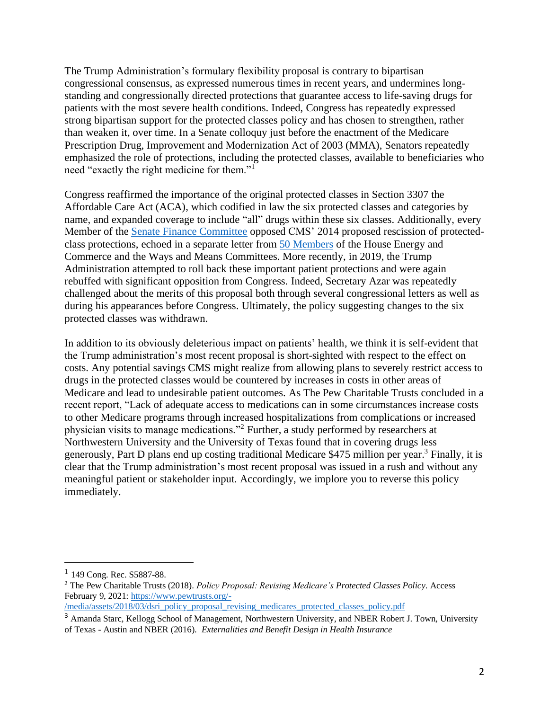The Trump Administration's formulary flexibility proposal is contrary to bipartisan congressional consensus, as expressed numerous times in recent years, and undermines longstanding and congressionally directed protections that guarantee access to life-saving drugs for patients with the most severe health conditions. Indeed, Congress has repeatedly expressed strong bipartisan support for the protected classes policy and has chosen to strengthen, rather than weaken it, over time. In a Senate colloquy just before the enactment of the Medicare Prescription Drug, Improvement and Modernization Act of 2003 (MMA), Senators repeatedly emphasized the role of protections, including the protected classes, available to beneficiaries who need "exactly the right medicine for them."<sup>1</sup>

Congress reaffirmed the importance of the original protected classes in Section 3307 the Affordable Care Act (ACA), which codified in law the six protected classes and categories by name, and expanded coverage to include "all" drugs within these six classes. Additionally, every Member of the [Senate Finance Committee](http://www.partdpartnership.org/uploads/8/4/2/1/8421729/letter.pdf) opposed CMS' 2014 proposed rescission of protectedclass protections, echoed in a separate letter from [50 Members](https://www.thenationalcouncil.org/capitol-connector/wp-content/blogs.dir/2/files/2014/03/Six-Protected-Classes-Letter-FINAL.pdf) of the House Energy and Commerce and the Ways and Means Committees. More recently, in 2019, the Trump Administration attempted to roll back these important patient protections and were again rebuffed with significant opposition from Congress. Indeed, Secretary Azar was repeatedly challenged about the merits of this proposal both through several congressional letters as well as during his appearances before Congress. Ultimately, the policy suggesting changes to the six protected classes was withdrawn.

In addition to its obviously deleterious impact on patients' health, we think it is self-evident that the Trump administration's most recent proposal is short-sighted with respect to the effect on costs. Any potential savings CMS might realize from allowing plans to severely restrict access to drugs in the protected classes would be countered by increases in costs in other areas of Medicare and lead to undesirable patient outcomes. As The Pew Charitable Trusts concluded in a recent report, "Lack of adequate access to medications can in some circumstances increase costs to other Medicare programs through increased hospitalizations from complications or increased physician visits to manage medications."<sup>2</sup> Further, a study performed by researchers at Northwestern University and the University of Texas found that in covering drugs less generously, Part D plans end up costing traditional Medicare \$475 million per year. <sup>3</sup> Finally, it is clear that the Trump administration's most recent proposal was issued in a rush and without any meaningful patient or stakeholder input. Accordingly, we implore you to reverse this policy immediately.

<sup>&</sup>lt;sup>1</sup> 149 Cong. Rec. S5887-88.

<sup>2</sup> The Pew Charitable Trusts (2018). *Policy Proposal: Revising Medicare's Protected Classes Policy*. Access February 9, 2021: [https://www.pewtrusts.org/-](https://www.pewtrusts.org/-/media/assets/2018/03/dsri_policy_proposal_revising_medicares_protected_classes_policy.pdf)

[<sup>/</sup>media/assets/2018/03/dsri\\_policy\\_proposal\\_revising\\_medicares\\_protected\\_classes\\_policy.pdf](https://www.pewtrusts.org/-/media/assets/2018/03/dsri_policy_proposal_revising_medicares_protected_classes_policy.pdf)

<sup>&</sup>lt;sup>3</sup> Amanda Starc, Kellogg School of Management, Northwestern University, and NBER Robert J. Town, University of Texas - Austin and NBER (2016). *Externalities and Benefit Design in Health Insurance*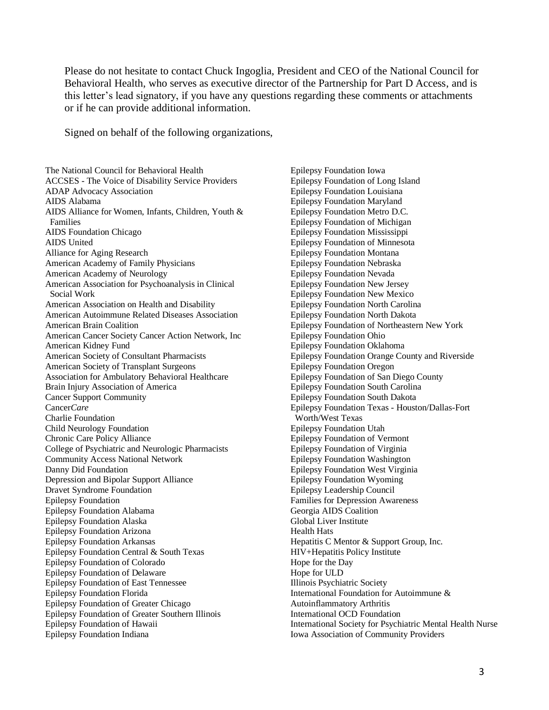Please do not hesitate to contact Chuck Ingoglia, President and CEO of the National Council for Behavioral Health, who serves as executive director of the Partnership for Part D Access, and is this letter's lead signatory, if you have any questions regarding these comments or attachments or if he can provide additional information.

Signed on behalf of the following organizations,

The National Council for Behavioral Health ACCSES - The Voice of Disability Service Providers ADAP Advocacy Association AIDS Alabama AIDS Alliance for Women, Infants, Children, Youth & Families AIDS Foundation Chicago AIDS United Alliance for Aging Research American Academy of Family Physicians American Academy of Neurology American Association for Psychoanalysis in Clinical Social Work American Association on Health and Disability American Autoimmune Related Diseases Association American Brain Coalition American Cancer Society Cancer Action Network, Inc American Kidney Fund American Society of Consultant Pharmacists American Society of Transplant Surgeons Association for Ambulatory Behavioral Healthcare Brain Injury Association of America Cancer Support Community Cancer*Care* Charlie Foundation Child Neurology Foundation Chronic Care Policy Alliance College of Psychiatric and Neurologic Pharmacists Community Access National Network Danny Did Foundation Depression and Bipolar Support Alliance Dravet Syndrome Foundation Epilepsy Foundation Epilepsy Foundation Alabama Epilepsy Foundation Alaska Epilepsy Foundation Arizona Epilepsy Foundation Arkansas Epilepsy Foundation Central & South Texas Epilepsy Foundation of Colorado Epilepsy Foundation of Delaware Epilepsy Foundation of East Tennessee Epilepsy Foundation Florida Epilepsy Foundation of Greater Chicago Epilepsy Foundation of Greater Southern Illinois Epilepsy Foundation of Hawaii Epilepsy Foundation Indiana

Epilepsy Foundation Iowa Epilepsy Foundation of Long Island Epilepsy Foundation Louisiana Epilepsy Foundation Maryland Epilepsy Foundation Metro D.C. Epilepsy Foundation of Michigan Epilepsy Foundation Mississippi Epilepsy Foundation of Minnesota Epilepsy Foundation Montana Epilepsy Foundation Nebraska Epilepsy Foundation Nevada Epilepsy Foundation New Jersey Epilepsy Foundation New Mexico Epilepsy Foundation North Carolina Epilepsy Foundation North Dakota Epilepsy Foundation of Northeastern New York Epilepsy Foundation Ohio Epilepsy Foundation Oklahoma Epilepsy Foundation Orange County and Riverside Epilepsy Foundation Oregon Epilepsy Foundation of San Diego County Epilepsy Foundation South Carolina Epilepsy Foundation South Dakota Epilepsy Foundation Texas - Houston/Dallas-Fort Worth/West Texas Epilepsy Foundation Utah Epilepsy Foundation of Vermont Epilepsy Foundation of Virginia Epilepsy Foundation Washington Epilepsy Foundation West Virginia Epilepsy Foundation Wyoming Epilepsy Leadership Council Families for Depression Awareness Georgia AIDS Coalition Global Liver Institute Health Hats Hepatitis C Mentor & Support Group, Inc. HIV+Hepatitis Policy Institute Hope for the Day Hope for ULD Illinois Psychiatric Society International Foundation for Autoimmune & Autoinflammatory Arthritis International OCD Foundation International Society for Psychiatric Mental Health Nurse Iowa Association of Community Providers